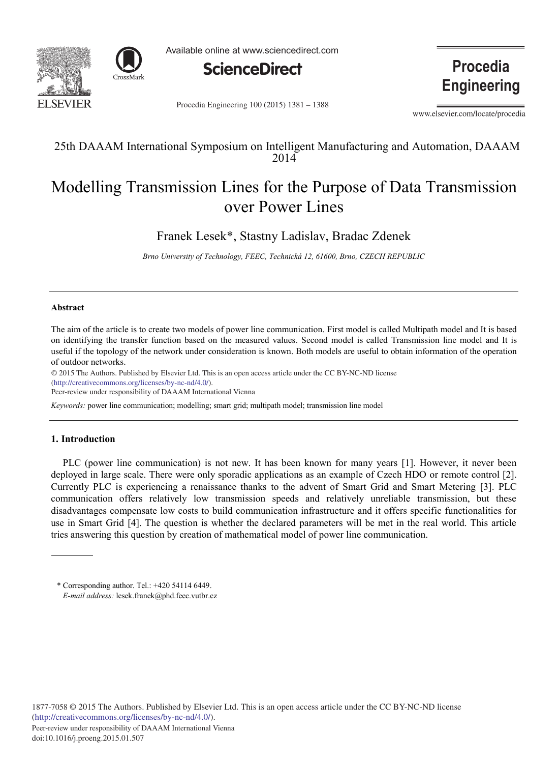



Available online at www.sciencedirect.com



Procedia Engineering 100 (2015) 1381 - 1388

**Procedia Engineering** 

www.elsevier.com/locate/procedia

# 25th DAAAM International Symposium on Intelligent Manufacturing and Automation, DAAAM 2014

# Modelling Transmission Lines for the Purpose of Data Transmission over Power Lines

Franek Lesek\*, Stastny Ladislav, Bradac Zdenek

*Brno University of Technology, FEEC, Technická 12, 61600, Brno, CZECH REPUBLIC*

# **Abstract**

The aim of the article is to create two models of power line communication. First model is called Multipath model and It is based on identifying the transfer function based on the measured values. Second model is called Transmission line model and It is useful if the topology of the network under consideration is known. Both models are useful to obtain information of the operation of outdoor networks.

© 2015 The Authors. Published by Elsevier Ltd. © 2015 The Authors. Published by Elsevier Ltd. This is an open access article under the CC BY-NC-ND license (http://creativecommons.org/licenses/by-nc-nd/4.0/). Peer-review under responsibility of DAAAM International Vienna

*Keywords:* power line communication; modelling; smart grid; multipath model; transmission line model

# **1. Introduction**

PLC (power line communication) is not new. It has been known for many years [1]. However, it never been deployed in large scale. There were only sporadic applications as an example of Czech HDO or remote control [2]. Currently PLC is experiencing a renaissance thanks to the advent of Smart Grid and Smart Metering [3]. PLC communication offers relatively low transmission speeds and relatively unreliable transmission, but these disadvantages compensate low costs to build communication infrastructure and it offers specific functionalities for use in Smart Grid [4]. The question is whether the declared parameters will be met in the real world. This article tries answering this question by creation of mathematical model of power line communication.

<sup>\*</sup> Corresponding author. Tel.: +420 54114 6449. *E-mail address:* lesek.franek@phd.feec.vutbr.cz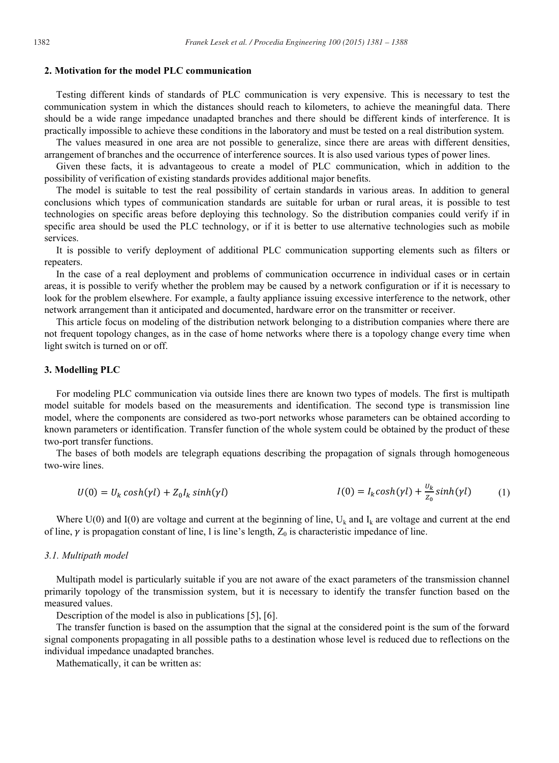# **2. Motivation for the model PLC communication**

Testing different kinds of standards of PLC communication is very expensive. This is necessary to test the communication system in which the distances should reach to kilometers, to achieve the meaningful data. There should be a wide range impedance unadapted branches and there should be different kinds of interference. It is practically impossible to achieve these conditions in the laboratory and must be tested on a real distribution system.

The values measured in one area are not possible to generalize, since there are areas with different densities, arrangement of branches and the occurrence of interference sources. It is also used various types of power lines.

Given these facts, it is advantageous to create a model of PLC communication, which in addition to the possibility of verification of existing standards provides additional major benefits.

The model is suitable to test the real possibility of certain standards in various areas. In addition to general conclusions which types of communication standards are suitable for urban or rural areas, it is possible to test technologies on specific areas before deploying this technology. So the distribution companies could verify if in specific area should be used the PLC technology, or if it is better to use alternative technologies such as mobile services.

It is possible to verify deployment of additional PLC communication supporting elements such as filters or repeaters.

In the case of a real deployment and problems of communication occurrence in individual cases or in certain areas, it is possible to verify whether the problem may be caused by a network configuration or if it is necessary to look for the problem elsewhere. For example, a faulty appliance issuing excessive interference to the network, other network arrangement than it anticipated and documented, hardware error on the transmitter or receiver.

This article focus on modeling of the distribution network belonging to a distribution companies where there are not frequent topology changes, as in the case of home networks where there is a topology change every time when light switch is turned on or off.

# **3. Modelling PLC**

For modeling PLC communication via outside lines there are known two types of models. The first is multipath model suitable for models based on the measurements and identification. The second type is transmission line model, where the components are considered as two-port networks whose parameters can be obtained according to known parameters or identification. Transfer function of the whole system could be obtained by the product of these two-port transfer functions.

The bases of both models are telegraph equations describing the propagation of signals through homogeneous two-wire lines.

$$
U(0) = U_k \cosh(\gamma l) + Z_0 I_k \sinh(\gamma l) \qquad I(0) = I_k \cosh(\gamma l) + \frac{U_k}{Z_0} \sinh(\gamma l) \qquad (1)
$$

Where  $U(0)$  and I(0) are voltage and current at the beginning of line,  $U_k$  and  $I_k$  are voltage and current at the end of line,  $\gamma$  is propagation constant of line, l is line's length,  $Z_0$  is characteristic impedance of line.

#### *3.1. Multipath model*

Multipath model is particularly suitable if you are not aware of the exact parameters of the transmission channel primarily topology of the transmission system, but it is necessary to identify the transfer function based on the measured values.

Description of the model is also in publications [5], [6].

The transfer function is based on the assumption that the signal at the considered point is the sum of the forward signal components propagating in all possible paths to a destination whose level is reduced due to reflections on the individual impedance unadapted branches.

Mathematically, it can be written as: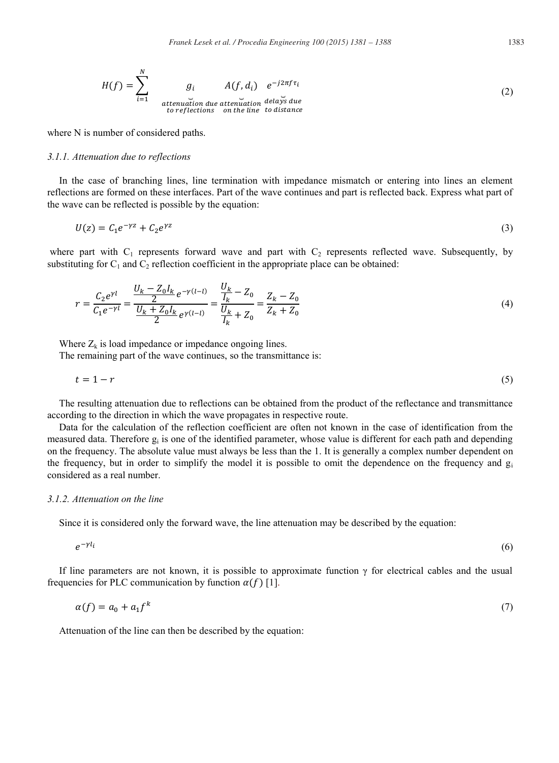$$
H(f) = \sum_{i=1}^{N} g_i A(f, d_i) e^{-j2\pi f \tau_i}
$$
  
*attenuation due attenuation delay's due  
to reflections on the line to distance* (2)

where N is number of considered paths.

#### *3.1.1. Attenuation due to reflections*

In the case of branching lines, line termination with impedance mismatch or entering into lines an element reflections are formed on these interfaces. Part of the wave continues and part is reflected back. Express what part of the wave can be reflected is possible by the equation:

$$
U(z) = C_1 e^{-\gamma z} + C_2 e^{\gamma z} \tag{3}
$$

where part with  $C_1$  represents forward wave and part with  $C_2$  represents reflected wave. Subsequently, by substituting for  $C_1$  and  $C_2$  reflection coefficient in the appropriate place can be obtained:

$$
r = \frac{C_2 e^{\gamma l}}{C_1 e^{-\gamma l}} = \frac{\frac{U_k - Z_0 I_k}{2} e^{-\gamma (l-l)}}{\frac{U_k + Z_0 I_k}{2} e^{\gamma (l-l)}} = \frac{\frac{U_k}{I_k} - Z_0}{\frac{U_k}{I_k} + Z_0} = \frac{Z_k - Z_0}{Z_k + Z_0}
$$
(4)

Where  $Z_k$  is load impedance or impedance ongoing lines.

The remaining part of the wave continues, so the transmittance is:

$$
t = 1 - r \tag{5}
$$

The resulting attenuation due to reflections can be obtained from the product of the reflectance and transmittance according to the direction in which the wave propagates in respective route.

Data for the calculation of the reflection coefficient are often not known in the case of identification from the measured data. Therefore  $g_i$  is one of the identified parameter, whose value is different for each path and depending on the frequency. The absolute value must always be less than the 1. It is generally a complex number dependent on the frequency, but in order to simplify the model it is possible to omit the dependence on the frequency and  $g_i$ considered as a real number.

# *3.1.2. Attenuation on the line*

Since it is considered only the forward wave, the line attenuation may be described by the equation:

$$
e^{-\gamma l_i} \tag{6}
$$

If line parameters are not known, it is possible to approximate function  $\gamma$  for electrical cables and the usual frequencies for PLC communication by function  $\alpha(f)$  [1].

$$
\alpha(f) = a_0 + a_1 f^k \tag{7}
$$

Attenuation of the line can then be described by the equation: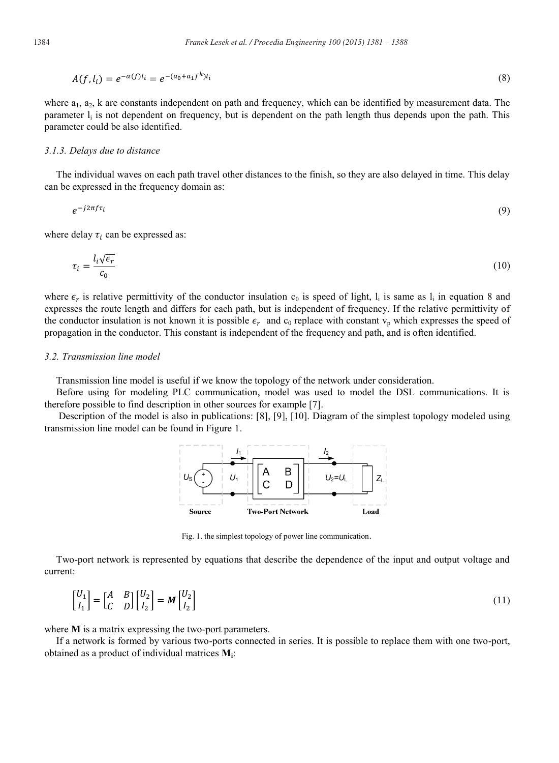$$
A(f, l_i) = e^{-\alpha(f)l_i} = e^{-(a_0 + a_1 f^k)l_i}
$$
\n(8)

where  $a_1, a_2, k$  are constants independent on path and frequency, which can be identified by measurement data. The parameter  $l_i$  is not dependent on frequency, but is dependent on the path length thus depends upon the path. This parameter could be also identified.

# *3.1.3. Delays due to distance*

The individual waves on each path travel other distances to the finish, so they are also delayed in time. This delay can be expressed in the frequency domain as:

$$
e^{-j2\pi f\tau_i} \tag{9}
$$

where delay  $\tau_i$  can be expressed as:

$$
\tau_i = \frac{l_i \sqrt{\epsilon_r}}{c_0} \tag{10}
$$

where  $\epsilon_r$  is relative permittivity of the conductor insulation  $c_0$  is speed of light, l<sub>i</sub> is same as l<sub>i</sub> in equation 8 and expresses the route length and differs for each path, but is independent of frequency. If the relative permittivity of the conductor insulation is not known it is possible  $\epsilon_r$  and  $\epsilon_0$  replace with constant  $v_p$  which expresses the speed of propagation in the conductor. This constant is independent of the frequency and path, and is often identified.

### *3.2. Transmission line model*

Transmission line model is useful if we know the topology of the network under consideration.

Before using for modeling PLC communication, model was used to model the DSL communications. It is therefore possible to find description in other sources for example [7].

Description of the model is also in publications: [8], [9], [10]. Diagram of the simplest topology modeled using transmission line model can be found in Figure 1.



Fig. 1. the simplest topology of power line communication.

Two-port network is represented by equations that describe the dependence of the input and output voltage and current:

$$
\begin{bmatrix} U_1 \\ I_1 \end{bmatrix} = \begin{bmatrix} A & B \\ C & D \end{bmatrix} \begin{bmatrix} U_2 \\ I_2 \end{bmatrix} = M \begin{bmatrix} U_2 \\ I_2 \end{bmatrix}
$$
\n(11)

where **M** is a matrix expressing the two-port parameters.

If a network is formed by various two-ports connected in series. It is possible to replace them with one two-port, obtained as a product of individual matrices **Mi**: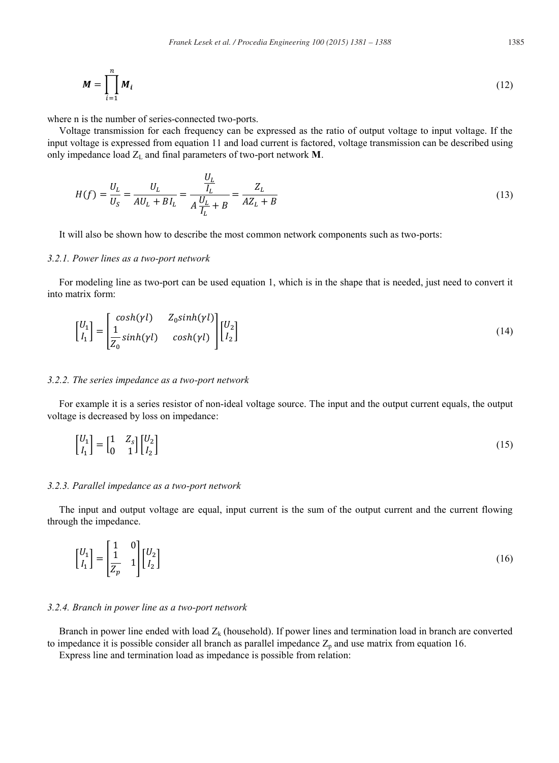$$
M = \prod_{i=1}^{n} M_i
$$
 (12)

where n is the number of series-connected two-ports.

Voltage transmission for each frequency can be expressed as the ratio of output voltage to input voltage. If the input voltage is expressed from equation 11 and load current is factored, voltage transmission can be described using only impedance load ZL and final parameters of two-port network **M**.

$$
H(f) = \frac{U_L}{U_S} = \frac{U_L}{AU_L + BI_L} = \frac{\frac{U_L}{I_L}}{A\frac{U_L}{I_L} + B} = \frac{Z_L}{AZ_L + B}
$$
\n(13)

It will also be shown how to describe the most common network components such as two-ports:

#### *3.2.1. Power lines as a two-port network*

For modeling line as two-port can be used equation 1, which is in the shape that is needed, just need to convert it into matrix form:

$$
\begin{bmatrix} U_1 \\ I_1 \end{bmatrix} = \begin{bmatrix} \cosh(\gamma l) & Z_0 \sinh(\gamma l) \\ \frac{1}{Z_0} \sinh(\gamma l) & \cosh(\gamma l) \end{bmatrix} \begin{bmatrix} U_2 \\ I_2 \end{bmatrix} \tag{14}
$$

# *3.2.2. The series impedance as a two-port network*

For example it is a series resistor of non-ideal voltage source. The input and the output current equals, the output voltage is decreased by loss on impedance:

$$
\begin{bmatrix} U_1 \\ I_1 \end{bmatrix} = \begin{bmatrix} 1 & Z_s \\ 0 & 1 \end{bmatrix} \begin{bmatrix} U_2 \\ I_2 \end{bmatrix} \tag{15}
$$

# *3.2.3. Parallel impedance as a two-port network*

The input and output voltage are equal, input current is the sum of the output current and the current flowing through the impedance.

$$
\begin{bmatrix} U_1 \\ I_1 \end{bmatrix} = \begin{bmatrix} 1 & 0 \\ \frac{1}{Z_p} & 1 \end{bmatrix} \begin{bmatrix} U_2 \\ I_2 \end{bmatrix}
$$
\n(16)

# *3.2.4. Branch in power line as a two-port network*

Branch in power line ended with load  $Z_k$  (household). If power lines and termination load in branch are converted to impedance it is possible consider all branch as parallel impedance  $Z_p$  and use matrix from equation 16.

Express line and termination load as impedance is possible from relation: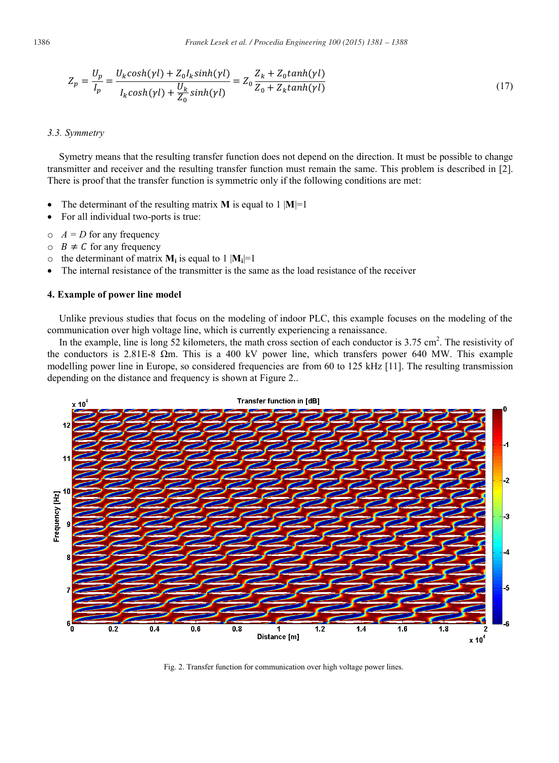$$
Z_p = \frac{U_p}{I_p} = \frac{U_k \cosh(\gamma l) + Z_0 I_k \sinh(\gamma l)}{I_k \cosh(\gamma l) + \frac{U_k}{Z_0} \sinh(\gamma l)} = Z_0 \frac{Z_k + Z_0 \tanh(\gamma l)}{Z_0 + Z_k \tanh(\gamma l)}
$$
(17)

# *3.3. Symmetry*

Symetry means that the resulting transfer function does not depend on the direction. It must be possible to change transmitter and receiver and the resulting transfer function must remain the same. This problem is described in [2]. There is proof that the transfer function is symmetric only if the following conditions are met:

- The determinant of the resulting matrix **M** is equal to 1  $|M|=1$
- For all individual two-ports is true:
- $\circ$  *A* = *D* for any frequency
- $\circ$   $B \neq C$  for any frequency
- $\circ$  the determinant of matrix **M**<sub>i</sub> is equal to 1 |**M**<sub>i</sub> $=$ 1
- The internal resistance of the transmitter is the same as the load resistance of the receiver

### **4. Example of power line model**

Unlike previous studies that focus on the modeling of indoor PLC, this example focuses on the modeling of the communication over high voltage line, which is currently experiencing a renaissance.

In the example, line is long 52 kilometers, the math cross section of each conductor is  $3.75 \text{ cm}^2$ . The resistivity of the conductors is 2.81E-8  $\Omega$ m. This is a 400 kV power line, which transfers power 640 MW. This example modelling power line in Europe, so considered frequencies are from 60 to 125 kHz [11]. The resulting transmission depending on the distance and frequency is shown at Figure 2..



Fig. 2. Transfer function for communication over high voltage power lines.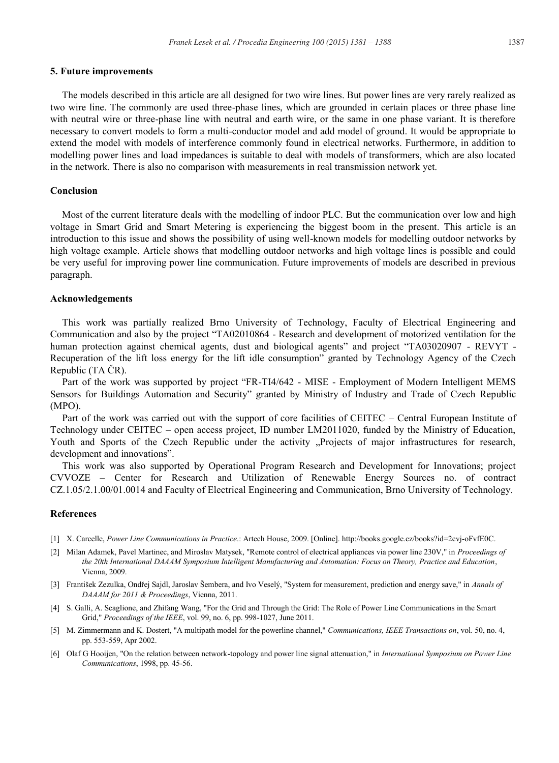# **5. Future improvements**

The models described in this article are all designed for two wire lines. But power lines are very rarely realized as two wire line. The commonly are used three-phase lines, which are grounded in certain places or three phase line with neutral wire or three-phase line with neutral and earth wire, or the same in one phase variant. It is therefore necessary to convert models to form a multi-conductor model and add model of ground. It would be appropriate to extend the model with models of interference commonly found in electrical networks. Furthermore, in addition to modelling power lines and load impedances is suitable to deal with models of transformers, which are also located in the network. There is also no comparison with measurements in real transmission network yet.

# **Conclusion**

Most of the current literature deals with the modelling of indoor PLC. But the communication over low and high voltage in Smart Grid and Smart Metering is experiencing the biggest boom in the present. This article is an introduction to this issue and shows the possibility of using well-known models for modelling outdoor networks by high voltage example. Article shows that modelling outdoor networks and high voltage lines is possible and could be very useful for improving power line communication. Future improvements of models are described in previous paragraph.

#### **Acknowledgements**

This work was partially realized Brno University of Technology, Faculty of Electrical Engineering and Communication and also by the project "TA02010864 - Research and development of motorized ventilation for the human protection against chemical agents, dust and biological agents" and project "TA03020907 - REVYT - Recuperation of the lift loss energy for the lift idle consumption" granted by Technology Agency of the Czech Republic (TA ČR).

Part of the work was supported by project "FR-TI4/642 - MISE - Employment of Modern Intelligent MEMS Sensors for Buildings Automation and Security" granted by Ministry of Industry and Trade of Czech Republic (MPO).

Part of the work was carried out with the support of core facilities of CEITEC – Central European Institute of Technology under CEITEC – open access project, ID number LM2011020, funded by the Ministry of Education, Youth and Sports of the Czech Republic under the activity "Projects of major infrastructures for research, development and innovations".

This work was also supported by Operational Program Research and Development for Innovations; project CVVOZE – Center for Research and Utilization of Renewable Energy Sources no. of contract CZ.1.05/2.1.00/01.0014 and Faculty of Electrical Engineering and Communication, Brno University of Technology.

# **References**

- [1] X. Carcelle, *Power Line Communications in Practice*.: Artech House, 2009. [Online]. http://books.google.cz/books?id=2cvj-oFvfE0C.
- [2] Milan Adamek, Pavel Martinec, and Miroslav Matysek, "Remote control of electrical appliances via power line 230V," in *Proceedings of the 20th International DAAAM Symposium Intelligent Manufacturing and Automation: Focus on Theory, Practice and Education*, Vienna, 2009.
- [3] František Zezulka, Ondřej Sajdl, Jaroslav Šembera, and Ivo Veselý, "System for measurement, prediction and energy save," in *Annals of DAAAM for 2011 & Proceedings*, Vienna, 2011.
- [4] S. Galli, A. Scaglione, and Zhifang Wang, "For the Grid and Through the Grid: The Role of Power Line Communications in the Smart Grid," *Proceedings of the IEEE*, vol. 99, no. 6, pp. 998-1027, June 2011.
- [5] M. Zimmermann and K. Dostert, "A multipath model for the powerline channel," *Communications, IEEE Transactions on*, vol. 50, no. 4, pp. 553-559, Apr 2002.
- [6] Olaf G Hooijen, "On the relation between network-topology and power line signal attenuation," in *International Symposium on Power Line Communications*, 1998, pp. 45-56.